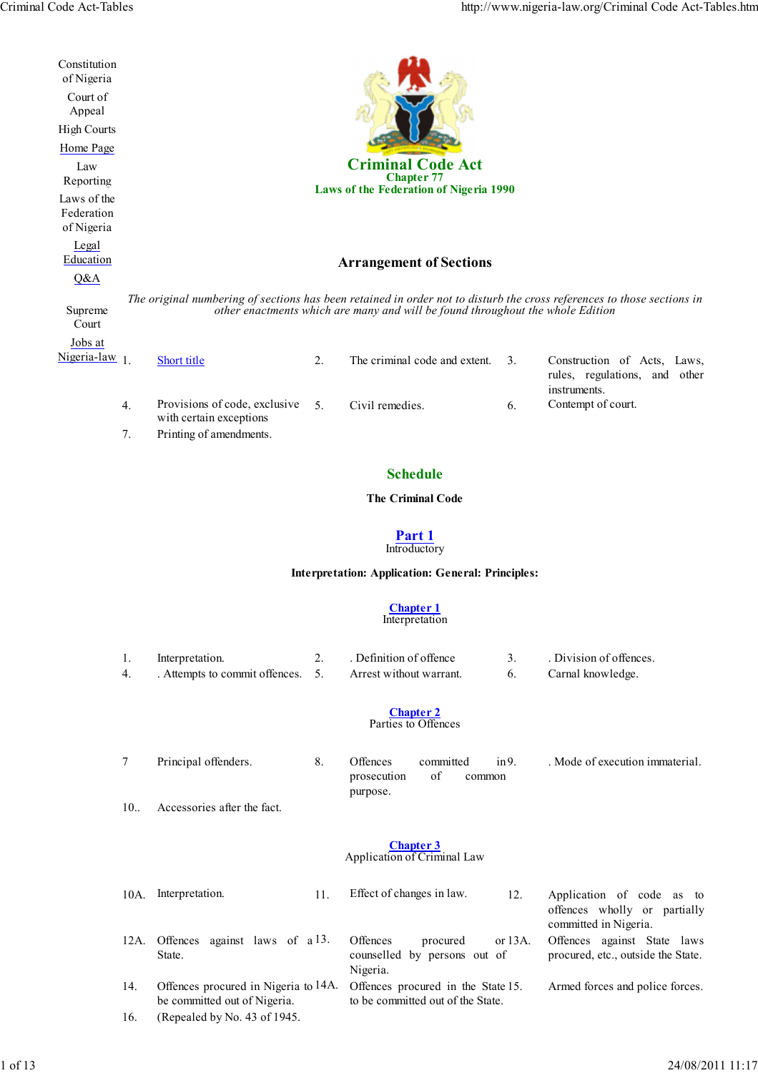| Constitution<br>of Nigeria<br>Court of<br>Appeal<br><b>High Courts</b><br>Home Page<br>Law<br>Reporting<br>Laws of the<br>Federation<br>of Nigeria<br>Legal |          |                                                                                     |                | <b>Criminal Code Act</b><br><b>Chapter 77</b><br>Laws of the Federation of Nigeria 1990 |                |                                                                                                                        |
|-------------------------------------------------------------------------------------------------------------------------------------------------------------|----------|-------------------------------------------------------------------------------------|----------------|-----------------------------------------------------------------------------------------|----------------|------------------------------------------------------------------------------------------------------------------------|
| Education                                                                                                                                                   |          |                                                                                     |                | <b>Arrangement of Sections</b>                                                          |                |                                                                                                                        |
| Q&A                                                                                                                                                         |          |                                                                                     |                |                                                                                         |                |                                                                                                                        |
| Supreme<br>Court                                                                                                                                            |          |                                                                                     |                | other enactments which are many and will be found throughout the whole Edition          |                | The original numbering of sections has been retained in order not to disturb the cross references to those sections in |
| Jobs at<br>Nigeria-law $1$ .                                                                                                                                |          | Short title                                                                         | 2.             | The criminal code and extent.                                                           | 3 <sub>1</sub> | Construction of Acts, Laws,<br>rules, regulations, and other<br>instruments.                                           |
|                                                                                                                                                             | 4.<br>7. | Provisions of code, exclusive<br>with certain exceptions<br>Printing of amendments. | 5 <sub>1</sub> | Civil remedies.                                                                         | 6.             | Contempt of court.                                                                                                     |
|                                                                                                                                                             |          |                                                                                     |                |                                                                                         |                |                                                                                                                        |

# **Schedule**

# **The Criminal Code**

#### **Part 1 Introductory**

# **Interpretation: Application: General: Principles:**

#### **Chapter 1** Interpretation

| 1.<br>4.        | Interpretation.<br>. Attempts to commit offences.                    | 2.<br>5. | . Definition of offence<br>Arrest without warrant.                      | 3 <sub>1</sub><br>6. | . Division of offences.<br>Carnal knowledge.                                          |
|-----------------|----------------------------------------------------------------------|----------|-------------------------------------------------------------------------|----------------------|---------------------------------------------------------------------------------------|
|                 |                                                                      |          | <b>Chapter 2</b><br>Parties to Offences                                 |                      |                                                                                       |
| 7               | Principal offenders.                                                 | 8.       | Offences<br>committed<br>of<br>prosecution<br>common<br>purpose.        | $in 9$ .             | . Mode of execution immaterial.                                                       |
| 10 <sub>1</sub> | Accessories after the fact.                                          |          |                                                                         |                      |                                                                                       |
|                 |                                                                      |          | <b>Chapter 3</b><br>Application of Criminal Law                         |                      |                                                                                       |
| 10A.            | Interpretation.                                                      | 11.      | Effect of changes in law.                                               | 12.                  | Application of code as<br>to<br>offences wholly or partially<br>committed in Nigeria. |
| 12A.            | Offences against laws of a 13.<br>State.                             |          | Offences<br>procured<br>counselled by persons out of<br>Nigeria.        | or 13A.              | Offences against State laws<br>procured, etc., outside the State.                     |
| 14.             | Offences procured in Nigeria to 14A.<br>be committed out of Nigeria. |          | Offences procured in the State 15.<br>to be committed out of the State. |                      | Armed forces and police forces.                                                       |
| 16.             | (Repealed by No. 43 of 1945.                                         |          |                                                                         |                      |                                                                                       |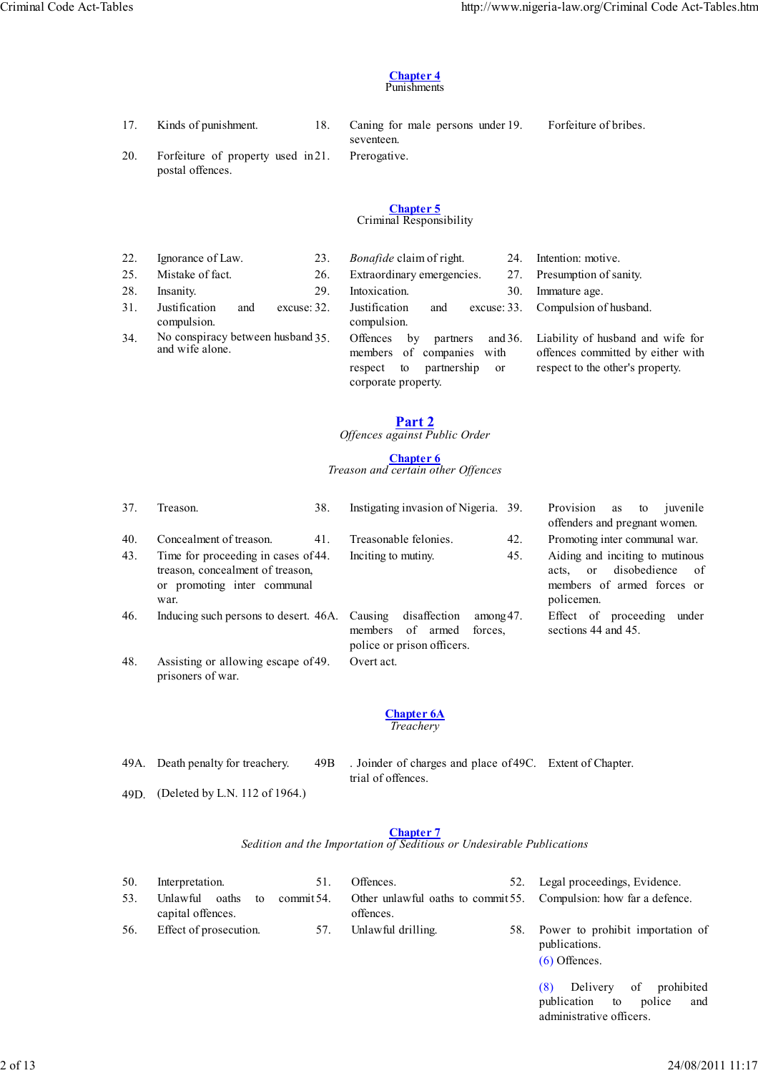#### **Chapter 4** Punishments

17. Kinds of punishment. 18. Caning for male persons under 19.

seventeen. Prerogative. Forfeiture of bribes.

20. Forfeiture of property used in 21. postal offences.

#### **Chapter 5** Criminal Responsibility

| 22. | Ignorance of Law.<br>23.                             | <i>Bonafide</i> claim of right.<br>24.                                                                                                                 | Intention: motive.                                                                                         |
|-----|------------------------------------------------------|--------------------------------------------------------------------------------------------------------------------------------------------------------|------------------------------------------------------------------------------------------------------------|
| 25. | Mistake of fact.<br>26.                              | Extraordinary emergencies.<br>27.                                                                                                                      | Presumption of sanity.                                                                                     |
| 28. | 29.<br>Insanity.                                     | Intoxication.<br>30.                                                                                                                                   | Immature age.                                                                                              |
| 31. | Justification<br>excuse: 32.<br>and<br>compulsion.   | Justification<br>excuse: 33.<br>and<br>compulsion.                                                                                                     | Compulsion of husband.                                                                                     |
| 34. | No conspiracy between husband 35.<br>and wife alone. | and $36$ .<br>Offences<br>partners<br>bv<br>of<br>companies<br>members<br>with<br>partnership<br>respect<br>to<br><sub>or</sub><br>corporate property. | Liability of husband and wife for<br>offences committed by either with<br>respect to the other's property. |

**Part 2** *Offences against Public Order*

# **Chapter 6**

*Treason and certain other Offences*

| 37.        | 38.<br>Treason.                                                                                           | Instigating invasion of Nigeria. 39.                                                                             | Provision<br>juvenile<br>as<br>to<br>offenders and pregnant women.                                                 |
|------------|-----------------------------------------------------------------------------------------------------------|------------------------------------------------------------------------------------------------------------------|--------------------------------------------------------------------------------------------------------------------|
| 40.<br>43. | Concealment of treason.<br>41.<br>Time for proceeding in cases of 44.<br>treason, concealment of treason, | 42.<br>Treasonable felonies.<br>45.<br>Inciting to mutiny.                                                       | Promoting inter communal war.<br>Aiding and inciting to mutinous<br>disobedience<br>- of<br><sub>or</sub><br>acts. |
|            | or promoting inter communal<br>war.                                                                       |                                                                                                                  | members of armed forces or<br>policemen.                                                                           |
| 46.        | Inducing such persons to desert. 46A.                                                                     | disaffection<br>Causing<br>$\text{among }47.$<br>of<br>members<br>forces.<br>armed<br>police or prison officers. | Effect of proceeding<br>under<br>sections 44 and 45.                                                               |
| 48.        | Assisting or allowing escape of 49.<br>prisoners of war.                                                  | Overt act.                                                                                                       |                                                                                                                    |

#### **Chapter 6A** *Treachery*

49A. Death penalty for treachery. 49B

. Joinder of charges and place of 49C. Extent of Chapter.

- 49D. (Deleted by L.N. 112 of 1964.)
- trial of offences.

# **Chapter 7**

*Sedition and the Importation of Seditious or Undesirable Publications*

| 50. | Interpretation.                                   | 51. | Offences.                                                                      | 52. Legal proceedings, Evidence.                      |
|-----|---------------------------------------------------|-----|--------------------------------------------------------------------------------|-------------------------------------------------------|
| 53. | Unlawful oaths to commit 54.<br>capital offences. |     | Other unlawful oaths to commit 55. Compulsion: how far a defence.<br>offences. |                                                       |
| 56. | Effect of prosecution.                            | 57. | Unlawful drilling.                                                             | 58. Power to prohibit importation of<br>publications. |

(6) Offences.

(8) Delivery of prohibited publication to police and administrative officers.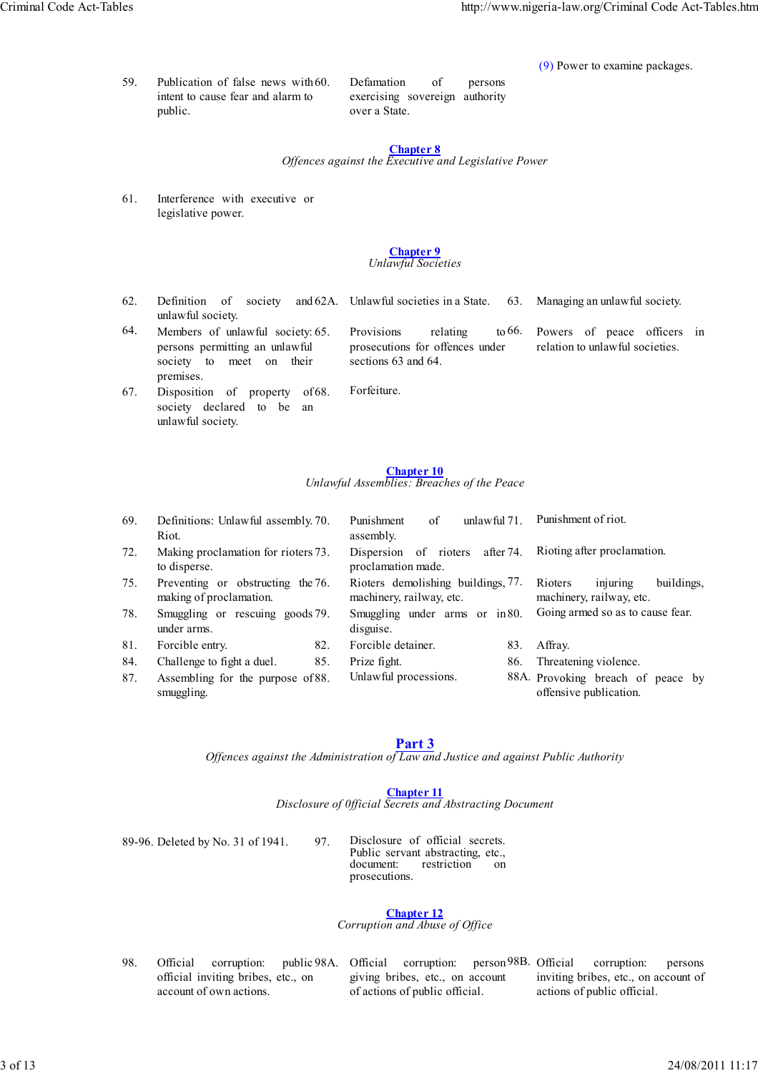(9) Power to examine packages.

59. Publication of false news with intent to cause fear and alarm to public.

Defamation of persons exercising sovereign authority over a State.

# **Chapter 8**

*Offences against the Executive and Legislative Power*

61. Interference with executive or legislative power.

#### **Chapter 9** *Unlawful Societies*

 $62.$  Definition of unlawful society. society and 62A. Unlawful societies in a State. 63. Managing an unlawful society.

Provisions relating to 66. prosecutions for offences under

Powers of peace officers in relation to unlawful societies.

64. Members of unlawful society: persons permitting an unlawful society to meet on their premises.

sections 63 and 64. Forfeiture.

67. Disposition of property of society declared to be an unlawful society.

#### **Chapter 10** *Unlawful Assemblies: Breaches of the Peace*

| 69. | Definitions: Unlawful assembly. 70.<br>Riot.                 | Punishment<br>of<br>unlawful 71.<br>assembly.                  | Punishment of riot.                                           |
|-----|--------------------------------------------------------------|----------------------------------------------------------------|---------------------------------------------------------------|
| 72. | Making proclamation for rioters 73.<br>to disperse.          | after 74.<br>Dispersion of rioters<br>proclamation made.       | Rioting after proclamation.                                   |
| 75. | Preventing or obstructing the 76.<br>making of proclamation. | Rioters demolishing buildings, 77.<br>machinery, railway, etc. | injuring<br>Rioters<br>buildings.<br>machinery, railway, etc. |
| 78. | Smuggling or rescuing goods 79.<br>under arms.               | Smuggling under arms or in 80.<br>disguise.                    | Going armed so as to cause fear.                              |
| 81. | 82.<br>Forcible entry.                                       | Forcible detainer.<br>83.                                      | Affray.                                                       |
| 84. | Challenge to fight a duel.<br>85.                            | Prize fight.<br>86.                                            | Threatening violence.                                         |
| 87. | Assembling for the purpose of 88.<br>smuggling.              | Unlawful processions.                                          | 88A. Provoking breach of peace by<br>offensive publication.   |

# **Part 3**

*Offences against the Administration of Law and Justice and against Public Authority*

# **Chapter 11**

*Disclosure of 0fficial Secrets and Abstracting Document*

89-96. Deleted by No. 31 of 1941. 97. Disclosure of official secrets. Public servant abstracting, etc.,<br>document: restriction on restriction on prosecutions.

#### **Chapter 12** *Corruption and Abuse of Office*

98. Official corruption: public 98A. official inviting bribes, etc., on account of own actions.

giving bribes, etc., on account of actions of public official.

98A. Official corruption: person 98B. Official corruption: persons inviting bribes, etc., on account of actions of public official.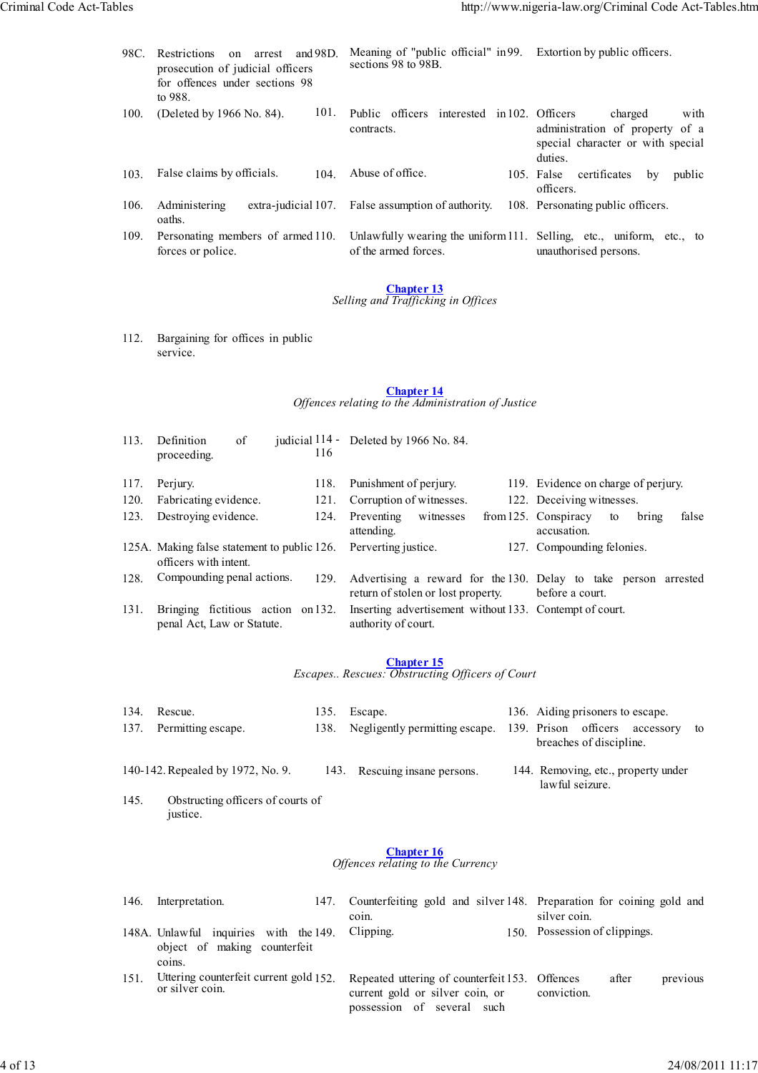| 98C. | <b>Restrictions</b><br>and 98D.<br>arrest<br>$\alpha$<br>prosecution of judicial officers<br>for offences under sections 98<br>to 988. |      | Meaning of "public official" in 99.<br>sections 98 to 98B.                                   | Extortion by public officers.                                                                      |
|------|----------------------------------------------------------------------------------------------------------------------------------------|------|----------------------------------------------------------------------------------------------|----------------------------------------------------------------------------------------------------|
| 100. | (Deleted by 1966 No. 84).                                                                                                              | 101. | Public officers interested in 102. Officers<br>contracts.                                    | charged<br>with<br>administration of property of a<br>special character or with special<br>duties. |
| 103. | False claims by officials.                                                                                                             | 104  | Abuse of office.                                                                             | 105. False<br>certificates<br>public<br>by<br>officers.                                            |
| 106. | Administering<br>oaths.                                                                                                                |      | extra-judicial 107. False assumption of authority.                                           | 108. Personating public officers.                                                                  |
| 109. | Personating members of armed 110.<br>forces or police.                                                                                 |      | Unlawfully wearing the uniform 111. Selling, etc., uniform, etc., to<br>of the armed forces. | unauthorised persons.                                                                              |

#### *Selling and Trafficking in Offices*

112. Bargaining for offices in public service.

#### **Chapter 14** *Offences relating to the Administration of Justice*

| 113. | of<br>Definition<br>proceeding.                                      | judicial 114 - | 116  | Deleted by 1966 No. 84.            |           |                                                                                    |             |       |
|------|----------------------------------------------------------------------|----------------|------|------------------------------------|-----------|------------------------------------------------------------------------------------|-------------|-------|
| 117. | Perjury.                                                             |                | 118. | Punishment of perjury.             |           | 119. Evidence on charge of perjury.                                                |             |       |
| 120. | Fabricating evidence.                                                |                | 121. | Corruption of witnesses.           |           | 122. Deceiving witnesses.                                                          |             |       |
| 123. | Destroying evidence.                                                 |                | 124. | Preventing<br>attending.           | witnesses | from $125$ . Conspiracy<br>accusation.                                             | to<br>bring | false |
|      | 125A. Making false statement to public 126.<br>officers with intent. |                |      | Perverting justice.                |           | 127. Compounding felonies.                                                         |             |       |
| 128. | Compounding penal actions.                                           |                | 129. | return of stolen or lost property. |           | Advertising a reward for the 130. Delay to take person arrested<br>before a court. |             |       |
| 131. | Bringing fictitious action on 132.<br>penal Act, Law or Statute.     |                |      | authority of court.                |           | Inserting advertisement without 133. Contempt of court.                            |             |       |

# **Chapter 15**

*Escapes.. Rescues: Obstructing Officers of Court*

| 134. Rescue.            | 135. Escape.                                                          |  | 136. Aiding prisoners to escape. |  |
|-------------------------|-----------------------------------------------------------------------|--|----------------------------------|--|
| 137. Permitting escape. | 138. Negligently permitting escape. 139. Prison officers accessory to |  |                                  |  |
|                         |                                                                       |  | breaches of discipline.          |  |

- 140-142. Repealed by 1972, No. 9. 143. Rescuing insane persons. 144. Removing, etc., property under lawful seizure.
- 145. Obstructing officers of courts of justice.

# **Chapter 16**

#### *Offences relating to the Currency*

| 146. | Interpretation.<br>147.                                                          | Counterfeiting gold and silver 148. Preparation for coining gold and<br>coin.                                   | silver coin.                     |
|------|----------------------------------------------------------------------------------|-----------------------------------------------------------------------------------------------------------------|----------------------------------|
|      | 148A. Unlawful inquiries with the 149.<br>object of making counterfeit<br>coins. | Clipping.                                                                                                       | 150. Possession of clippings.    |
| 151. | Uttering counterfeit current gold 152.<br>or silver coin.                        | Repeated uttering of counterfeit 153. Offences<br>current gold or silver coin, or<br>possession of several such | after<br>previous<br>conviction. |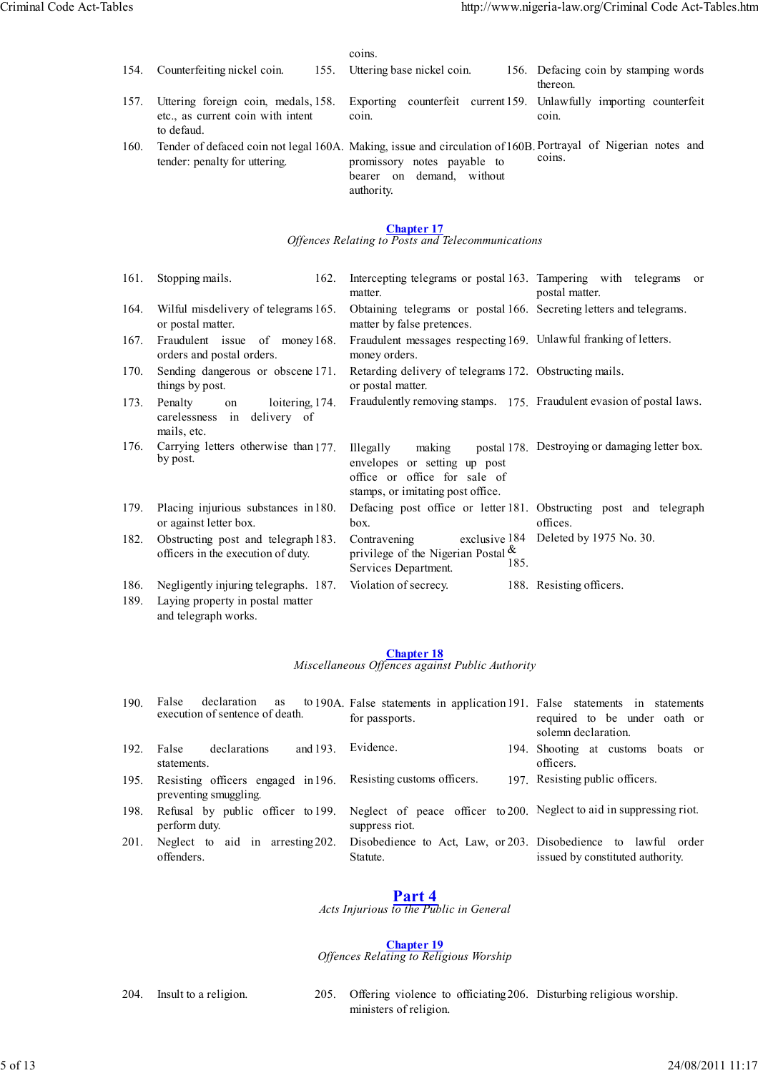|              |                                                                                                   | coins.                                                                                                                                                                                  |                                                  |
|--------------|---------------------------------------------------------------------------------------------------|-----------------------------------------------------------------------------------------------------------------------------------------------------------------------------------------|--------------------------------------------------|
| 154.         | Counterfeiting nickel coin.<br>155.                                                               | Uttering base nickel coin.                                                                                                                                                              | 156. Defacing coin by stamping words<br>thereon. |
| 157.         | Uttering foreign coin, medals, 158.<br>etc., as current coin with intent<br>to defaud.            | Exporting counterfeit current 159. Unlawfully importing counterfeit<br>coin.                                                                                                            | coin.                                            |
| 160.         | tender: penalty for uttering.                                                                     | Tender of defaced coin not legal 160A. Making, issue and circulation of 160B. Portrayal of Nigerian notes and<br>promissory notes payable to<br>bearer on demand, without<br>authority. | coins.                                           |
|              |                                                                                                   | <b>Chapter 17</b><br>Offences Relating to Posts and Telecommunications                                                                                                                  |                                                  |
| 161.         | Stopping mails.<br>162.                                                                           | Intercepting telegrams or postal 163. Tampering with telegrams<br>matter.                                                                                                               | <sub>or</sub><br>postal matter.                  |
| 164.         | Wilful misdelivery of telegrams 165.<br>or postal matter.                                         | Obtaining telegrams or postal 166. Secreting letters and telegrams.<br>matter by false pretences.                                                                                       |                                                  |
| 167.         | Fraudulent issue of money 168.<br>orders and postal orders.                                       | Fraudulent messages respecting 169. Unlawful franking of letters.<br>money orders.                                                                                                      |                                                  |
| 170.         | Sending dangerous or obscene 171.<br>things by post.                                              | Retarding delivery of telegrams 172. Obstructing mails.<br>or postal matter.                                                                                                            |                                                  |
| 173.         | Penalty<br>loitering, 174.<br>on<br>carelessness in delivery of<br>mails, etc.                    | Fraudulently removing stamps. 175. Fraudulent evasion of postal laws.                                                                                                                   |                                                  |
| 176.         | Carrying letters otherwise than 177.<br>by post.                                                  | Illegally<br>making<br>envelopes or setting up post<br>office or office for sale of<br>stamps, or imitating post office.                                                                | postal 178. Destroying or damaging letter box.   |
| 179.         | Placing injurious substances in 180.<br>or against letter box.                                    | Defacing post office or letter 181. Obstructing post and telegraph<br>box.                                                                                                              | offices.                                         |
| 182.         | Obstructing post and telegraph 183.<br>officers in the execution of duty.                         | Contravening<br>privilege of the Nigerian Postal $\&$<br>185.<br>Services Department.                                                                                                   | exclusive 184 Deleted by 1975 No. 30.            |
| 186.<br>189. | Negligently injuring telegraphs. 187.<br>Laying property in postal matter<br>and telegraph works. | Violation of secrecy.                                                                                                                                                                   | 188. Resisting officers.                         |
|              |                                                                                                   |                                                                                                                                                                                         |                                                  |

*Miscellaneous Offences against Public Authority*

| 190. | declaration<br>False<br>as<br>execution of sentence of death. | to 190A. False statements in application 191. False statements in statements<br>for passports. | required to be under oath or                   |
|------|---------------------------------------------------------------|------------------------------------------------------------------------------------------------|------------------------------------------------|
|      |                                                               |                                                                                                | solemn declaration.                            |
| 192. | and 193.<br>False<br>declarations<br>statements.              | Evidence.                                                                                      | 194. Shooting at customs boats or<br>officers. |
| 195. | Resisting officers engaged in 196.<br>preventing smuggling.   | Resisting customs officers.                                                                    | 197. Resisting public officers.                |
| 198. | Refusal by public officer to 199.<br>perform duty.            | Neglect of peace officer to 200. Neglect to aid in suppressing riot.<br>suppress riot.         |                                                |
| 201. | Neglect to aid in arresting 202.<br>offenders.                | Disobedience to Act, Law, or 203. Disobedience to lawful order<br>Statute.                     | issued by constituted authority.               |

**Part 4** *Acts Injurious to the Public in General*

**Chapter 19**

*Offences Relating to Religious Worship*

- 
- 204. Insult to a religion. 205. Offering violence to officiating 206. Disturbing religious worship. ministers of religion.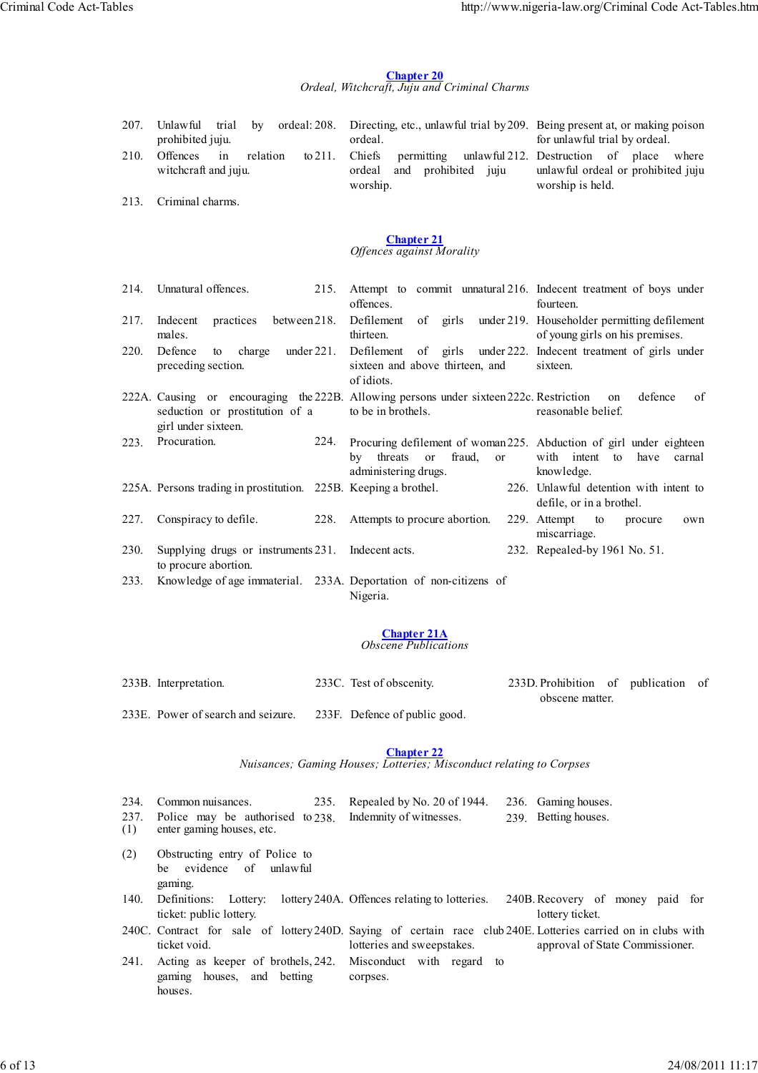# **Chapter 20** *Ordeal, Witchcraft, Juju and Criminal Charms*

| 207. | Unlawful trial<br>by<br>prohibited juju. |       |          |                   | ordeal: 208. Directing, etc., unlawful trial by 209. Being present at, or making poison<br>ordeal. |          |                     |  | for unlawful trial by ordeal. |                                                     |  |  |  |
|------|------------------------------------------|-------|----------|-------------------|----------------------------------------------------------------------------------------------------|----------|---------------------|--|-------------------------------|-----------------------------------------------------|--|--|--|
| 210. | Offences                                 | $\ln$ | relation | to $211$ . Chiefs |                                                                                                    |          |                     |  |                               | permitting unlawful 212. Destruction of place where |  |  |  |
|      | witchcraft and juju.                     |       |          |                   | ordeal                                                                                             |          | and prohibited juju |  |                               | unlawful ordeal or prohibited juju                  |  |  |  |
|      |                                          |       |          |                   |                                                                                                    | worship. |                     |  | worship is held.              |                                                     |  |  |  |

213. Criminal charms.

#### **Chapter 21** *Offences against Morality*

| 214. | Unnatural offences.                                                        | 215. | Attempt to commit unnatural 216. Indecent treatment of boys under<br>offences.<br>fourteen.                                                                                   |        |
|------|----------------------------------------------------------------------------|------|-------------------------------------------------------------------------------------------------------------------------------------------------------------------------------|--------|
| 217. | practices<br>between 218.<br>Indecent<br>males.                            |      | Defilement<br>girls under 219. Householder permitting defilement<br>of<br>thirteen.<br>of young girls on his premises.                                                        |        |
| 220. | under $221$ .<br>Defence<br>to charge<br>preceding section.                |      | Defilement of girls under 222. Indecent treatment of girls under<br>sixteen and above thirteen, and<br>sixteen.<br>of idiots.                                                 |        |
|      | seduction or prostitution of a<br>girl under sixteen.                      |      | 222A. Causing or encouraging the 222B. Allowing persons under sixteen 222c. Restriction<br>defence<br>on<br>to be in brothels.<br>reasonable belief.                          | of     |
| 223. | Procuration.<br>224.                                                       |      | Procuring defilement of woman 225. Abduction of girl under eighteen<br>with intent<br>fraud, or<br>have<br>by threats<br>$\alpha$<br>to<br>administering drugs.<br>knowledge. | carnal |
|      | 225A. Persons trading in prostitution. 225B. Keeping a brothel.            |      | 226. Unlawful detention with intent to<br>defile, or in a brothel.                                                                                                            |        |
| 227. | Conspiracy to defile.                                                      | 228. | Attempts to procure abortion.<br>229. Attempt<br>to<br>procure<br>miscarriage.                                                                                                | own    |
| 230. | Supplying drugs or instruments 231. Indecent acts.<br>to procure abortion. |      | 232. Repealed-by 1961 No. 51.                                                                                                                                                 |        |
| 233. |                                                                            |      | Knowledge of age immaterial. 233A. Deportation of non-citizens of                                                                                                             |        |

Nigeria.

# **Chapter 21A**

*Obscene Publications*

| 233B. Interpretation.              |  | 233C. Test of obscenity.      | 233D. Prohibition of publication of |  |  |  |  |
|------------------------------------|--|-------------------------------|-------------------------------------|--|--|--|--|
|                                    |  |                               | obscene matter.                     |  |  |  |  |
| 233E. Power of search and seizure. |  | 233F. Defence of public good. |                                     |  |  |  |  |

#### **Chapter 22**

*Nuisances; Gaming Houses; Lotteries; Misconduct relating to Corpses*

|     | 234. Common nuisances.                                        | 235. Repealed by No. 20 of 1944. 236. Gaming houses. |                     |
|-----|---------------------------------------------------------------|------------------------------------------------------|---------------------|
|     | 237. Police may be authorised to 238. Indemnity of witnesses. |                                                      | 239 Betting houses. |
| (1) | enter gaming houses, etc.                                     |                                                      |                     |

- (2) Obstructing entry of Police to be evidence of unlawful gaming.
- 140. Definitions: Lottery: lottery 240A. Offences relating to lotteries. ticket: public lottery. 240B. Recovery of money paid for lottery ticket.

240C. Contract for sale of lottery 240D. Saying of certain race club 240E. Lotteries carried on in clubs with ticket void. lotteries and sweepstakes. approval of State Commissioner.

241. Acting as keeper of brothels, 242. Misconduct with regard to gaming houses, and betting houses. corpses.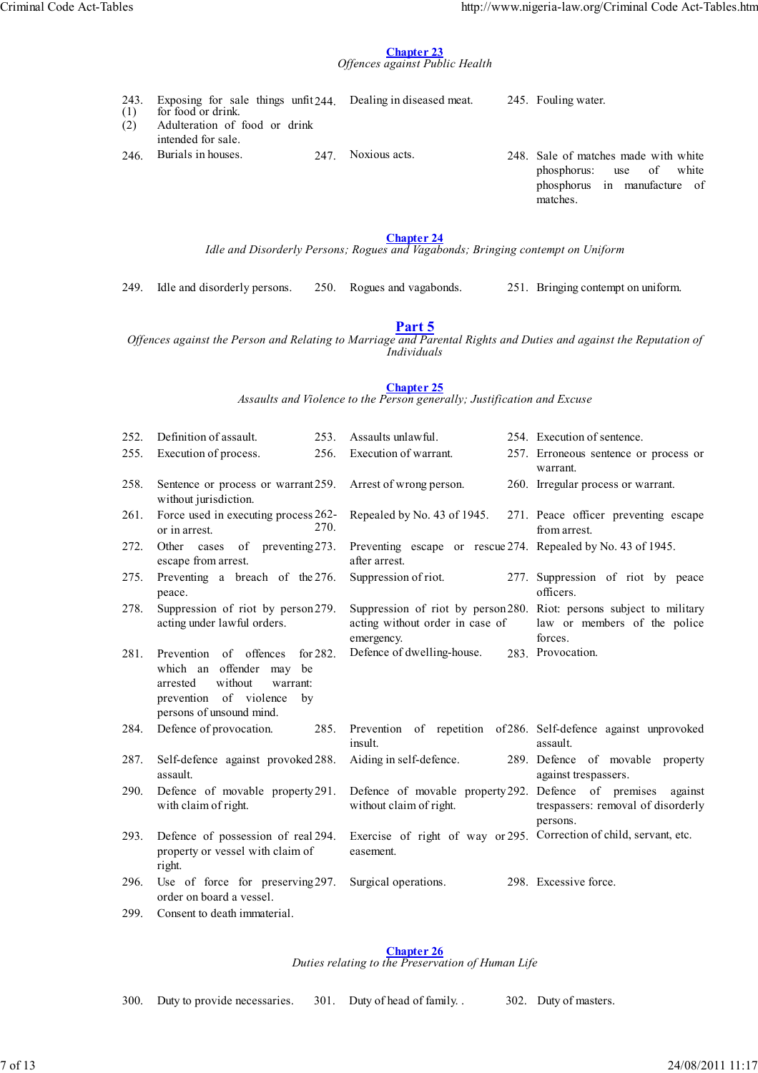#### **Chapter 23** *Offences against Public Health*

|  |  |  | 243. Exposing for sale things unfit 244. Dealing in diseased meat. | 245. Fouling water. |
|--|--|--|--------------------------------------------------------------------|---------------------|
|  |  |  |                                                                    |                     |

- (1) (2) for food or drink. Adulteration of food or drink intended for sale.
- 246. Burials in houses. 247. Noxious acts. 248. Sale of matches made with white
- - phosphorus: use of white phosphorus in manufacture of matches.

# **Chapter 24**

*Idle and Disorderly Persons; Rogues and Vagabonds; Bringing contempt on Uniform*

249. Idle and disorderly persons. 250. Rogues and vagabonds. 251. Bringing contempt on uniform.

# **Part 5**

*Offences against the Person and Relating to Marriage and Parental Rights and Duties and against the Reputation of Individuals*

# **Chapter 25**

*Assaults and Violence to the Person generally; Justification and Excuse*

| 252. | Definition of assault.<br>253.                                                                                                                                      | Assaults unlawful.                                                              | 254. Execution of sentence.                                                                                    |
|------|---------------------------------------------------------------------------------------------------------------------------------------------------------------------|---------------------------------------------------------------------------------|----------------------------------------------------------------------------------------------------------------|
| 255. | Execution of process.<br>256.                                                                                                                                       | Execution of warrant.                                                           | 257. Erroneous sentence or process or<br>warrant.                                                              |
| 258. | Sentence or process or warrant 259.<br>without jurisdiction.                                                                                                        | Arrest of wrong person.                                                         | 260. Irregular process or warrant.                                                                             |
| 261. | Force used in executing process 262-<br>270.<br>or in arrest.                                                                                                       | Repealed by No. 43 of 1945.                                                     | 271. Peace officer preventing escape<br>from arrest.                                                           |
| 272. | Other cases of preventing 273.<br>escape from arrest.                                                                                                               | Preventing escape or rescue 274. Repealed by No. 43 of 1945.<br>after arrest.   |                                                                                                                |
| 275. | Preventing a breach of the 276.<br>peace.                                                                                                                           | Suppression of riot.                                                            | 277. Suppression of riot by peace<br>officers.                                                                 |
| 278. | Suppression of riot by person279.<br>acting under lawful orders.                                                                                                    | acting without order in case of<br>emergency.                                   | Suppression of riot by person280. Riot: persons subject to military<br>law or members of the police<br>forces. |
| 281. | Prevention of offences<br>for $282$ .<br>which an offender may<br>be<br>without<br>arrested<br>warrant:<br>prevention of violence<br>by<br>persons of unsound mind. | Defence of dwelling-house.                                                      | 283. Provocation.                                                                                              |
| 284. | Defence of provocation.<br>285.                                                                                                                                     | insult.                                                                         | Prevention of repetition of 286. Self-defence against unprovoked<br>assault.                                   |
| 287. | Self-defence against provoked 288.<br>assault.                                                                                                                      | Aiding in self-defence.                                                         | 289. Defence of movable property<br>against trespassers.                                                       |
| 290. | Defence of movable property 291.<br>with claim of right.                                                                                                            | Defence of movable property 292. Defence of premises<br>without claim of right. | against<br>trespassers: removal of disorderly<br>persons.                                                      |
| 293. | Defence of possession of real 294.<br>property or vessel with claim of<br>right.                                                                                    | easement.                                                                       | Exercise of right of way or 295. Correction of child, servant, etc.                                            |
| 296. | Use of force for preserving 297.<br>order on board a vessel.                                                                                                        | Surgical operations.                                                            | 298. Excessive force.                                                                                          |
| 299. | Consent to death immaterial.                                                                                                                                        |                                                                                 |                                                                                                                |

**Chapter 26** *Duties relating to the Preservation of Human Life*

300. Duty to provide necessaries. 301. Duty of head of family. . 302. Duty of masters.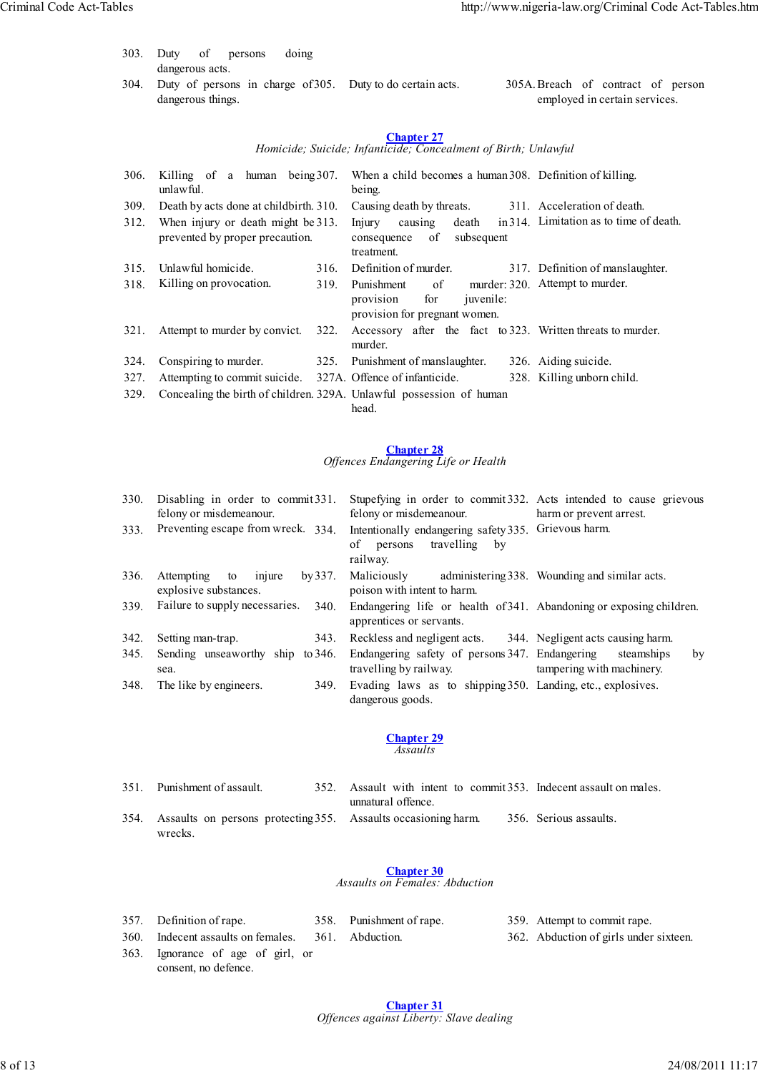- 303. Duty of persons doing dangerous acts.
- 304. Duty of persons in charge of 305. Duty to do certain acts. dangerous things. 305A. Breach of contract of person employed in certain services.

*Homicide; Suicide; Infanticide; Concealment of Birth; Unlawful*

| 306. | Killing of a human being 307.<br>unlawful.                            |      | When a child becomes a human 308. Definition of killing.<br>being.                                |                                         |  |  |
|------|-----------------------------------------------------------------------|------|---------------------------------------------------------------------------------------------------|-----------------------------------------|--|--|
| 309. | Death by acts done at childbirth. 310.                                |      | Causing death by threats.                                                                         | 311. Acceleration of death.             |  |  |
| 312. | When injury or death might be 313.<br>prevented by proper precaution. |      | causing<br>death<br>Injury<br>of<br>subsequent<br>consequence<br>treatment.                       | in 314. Limitation as to time of death. |  |  |
| 315. | Unlawful homicide.                                                    | 316. | Definition of murder.                                                                             | 317. Definition of manslaughter.        |  |  |
| 318. | Killing on provocation.                                               | 319. | $\alpha$ f<br>Punishment<br>for<br><i>juvenile:</i><br>provision<br>provision for pregnant women. | murder: 320. Attempt to murder.         |  |  |
| 321. | Attempt to murder by convict.                                         | 322. | Accessory after the fact to 323. Written threats to murder.<br>murder.                            |                                         |  |  |
| 324. | Conspiring to murder.                                                 | 325. | Punishment of manslaughter.                                                                       | 326. Aiding suicide.                    |  |  |
| 327. | Attempting to commit suicide.                                         |      | 327A. Offence of infanticide.                                                                     | 328. Killing unborn child.              |  |  |
| 329. |                                                                       |      | Concealing the birth of children. 329A. Unlawful possession of human<br>head.                     |                                         |  |  |

# **Chapter 28**

#### *Offences Endangering Life or Health*

| 330. | Disabling in order to commit 331.<br>felony or misdemeanour. | Stupefying in order to commit 332. Acts intended to cause grievous<br>felony or misdemeanour.   | harm or prevent arrest.                       |
|------|--------------------------------------------------------------|-------------------------------------------------------------------------------------------------|-----------------------------------------------|
| 333. | Preventing escape from wreck. 334.                           | Intentionally endangering safety 335. Grievous harm.<br>travelling by<br>of persons<br>railway. |                                               |
| 336. | injure<br>by 337.<br>Attempting to<br>explosive substances.  | Maliciously<br>poison with intent to harm.                                                      | administering 338. Wounding and similar acts. |
| 339. | Failure to supply necessaries.<br>340.                       | Endangering life or health of 341. Abandoning or exposing children.<br>apprentices or servants. |                                               |
| 342. | Setting man-trap.<br>343.                                    | Reckless and negligent acts. 344. Negligent acts causing harm.                                  |                                               |
| 345. | Sending unseaworthy ship to 346.<br>sea.                     | Endangering safety of persons 347. Endangering<br>travelling by railway.                        | steamships<br>by<br>tampering with machinery. |
| 348. | The like by engineers.<br>349.                               | Evading laws as to shipping 350. Landing, etc., explosives.<br>dangerous goods.                 |                                               |
|      |                                                              | <b>Chapter 29</b><br>Assaults                                                                   |                                               |

| 351. Punishment of assault.                                                    |  | 352. Assault with intent to commit 353. Indecent assault on males.<br>unnatural offence. |                        |  |  |  |  |  |
|--------------------------------------------------------------------------------|--|------------------------------------------------------------------------------------------|------------------------|--|--|--|--|--|
|                                                                                |  |                                                                                          |                        |  |  |  |  |  |
| 354. Assaults on persons protecting 355. Assaults occasioning harm.<br>wrecks. |  |                                                                                          | 356. Serious assaults. |  |  |  |  |  |

# **Chapter 30**

*Assaults on Females: Abduction*

| 357. Definition of rape.           | 358. Punishment of rape. | 359. Attempt to commit rape.           |
|------------------------------------|--------------------------|----------------------------------------|
| 360. Indecent assaults on females. | 361. Abduction.          | 362. Abduction of girls under sixteen. |
| 363. Ignorance of age of girl, or  |                          |                                        |
| consent, no defence.               |                          |                                        |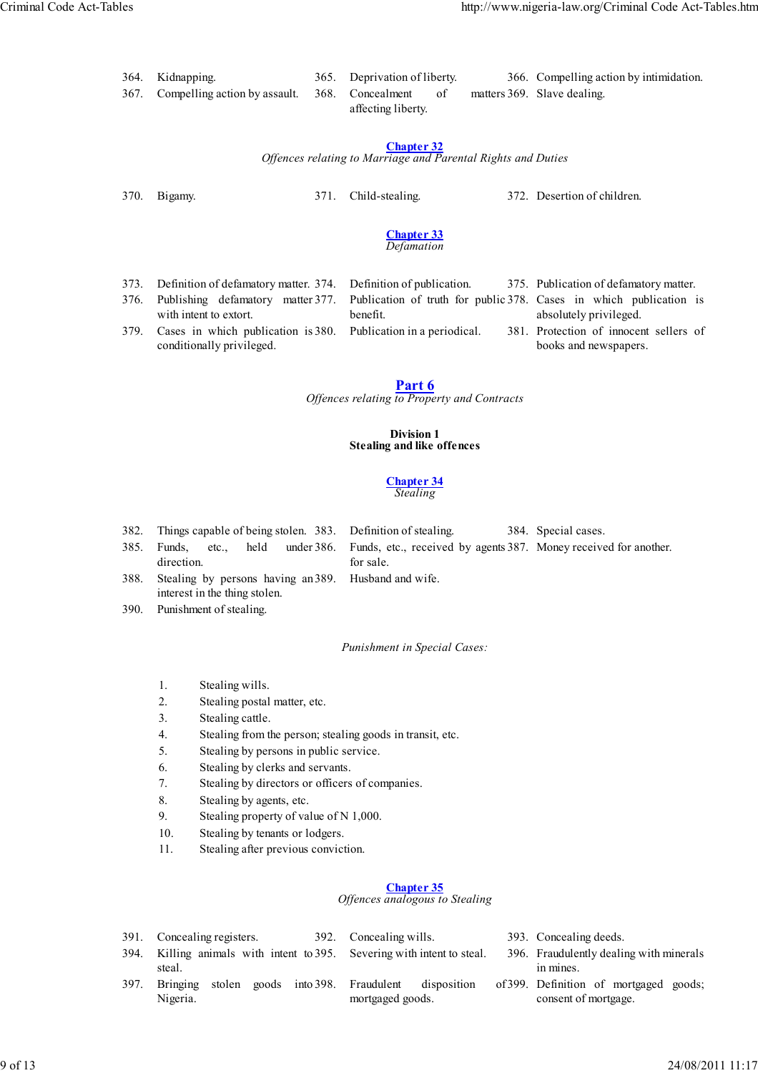| 364. Kidnapping.                                    |  | 365. Deprivation of liberty. |    | 366. Compelling action by intimidation. |
|-----------------------------------------------------|--|------------------------------|----|-----------------------------------------|
| 367. Compelling action by assault. 368. Concealment |  |                              | of | matters 369. Slave dealing.             |
|                                                     |  |                              |    |                                         |

*Offences relating to Marriage and Parental Rights and Duties*

370. Bigamy. 371. Child-stealing. 372. Desertion of children.

#### **Chapter 33** *Defamation*

| 373. Definition of defamatory matter. 374. Definition of publication. |  |  |                                                                                                           |                        |  | 375. Publication of defamatory matter. |  |  |  |  |  |
|-----------------------------------------------------------------------|--|--|-----------------------------------------------------------------------------------------------------------|------------------------|--|----------------------------------------|--|--|--|--|--|
|                                                                       |  |  | 376. Publishing defamatory matter 377. Publication of truth for public 378. Cases in which publication is |                        |  |                                        |  |  |  |  |  |
| with intent to extort.                                                |  |  | benefit.                                                                                                  | absolutely privileged. |  |                                        |  |  |  |  |  |

379. Cases in which publication is 380. Publication in a periodical.

absolutely privileged.

381. Protection of innocent sellers of books and newspapers.

conditionally privileged.

**Part 6** *Offences relating to Property and Contracts*

# **Division 1 Stealing and like offences**

#### **Chapter 34** *Stealing*

382. Things capable of being stolen. 383. Definition of stealing. 384. Special cases.

385. Funds, etc., held under direction. 386. Funds, etc., received by agents 387. Money received for another.

- for sale. Husband and wife.
- 388. Stealing by persons having an interest in the thing stolen.
- 390. Punishment of stealing.

*Punishment in Special Cases:*

- 1. Stealing wills.
- 2. Stealing postal matter, etc.
- 3. Stealing cattle.
- 4. Stealing from the person; stealing goods in transit, etc.
- 5. Stealing by persons in public service.
- 6. Stealing by clerks and servants.
- 7. Stealing by directors or officers of companies.
- 8. Stealing by agents, etc.
- 9. Stealing property of value of N 1,000.
- 10. Stealing by tenants or lodgers.
- 11. Stealing after previous conviction.

# **Chapter 35**

*Offences analogous to Stealing*

- 391. Concealing registers. 392. Concealing wills. 393. Concealing deeds.
- 394. Killing animals with intent to 395. steal. 395. Severing with intent to steal. 396. Fraudulently dealing with minerals in mines. 397. Bringing stolen goods into Nigeria. Fraudulent disposition mortgaged goods. 399. Definition of mortgaged goods; consent of mortgage.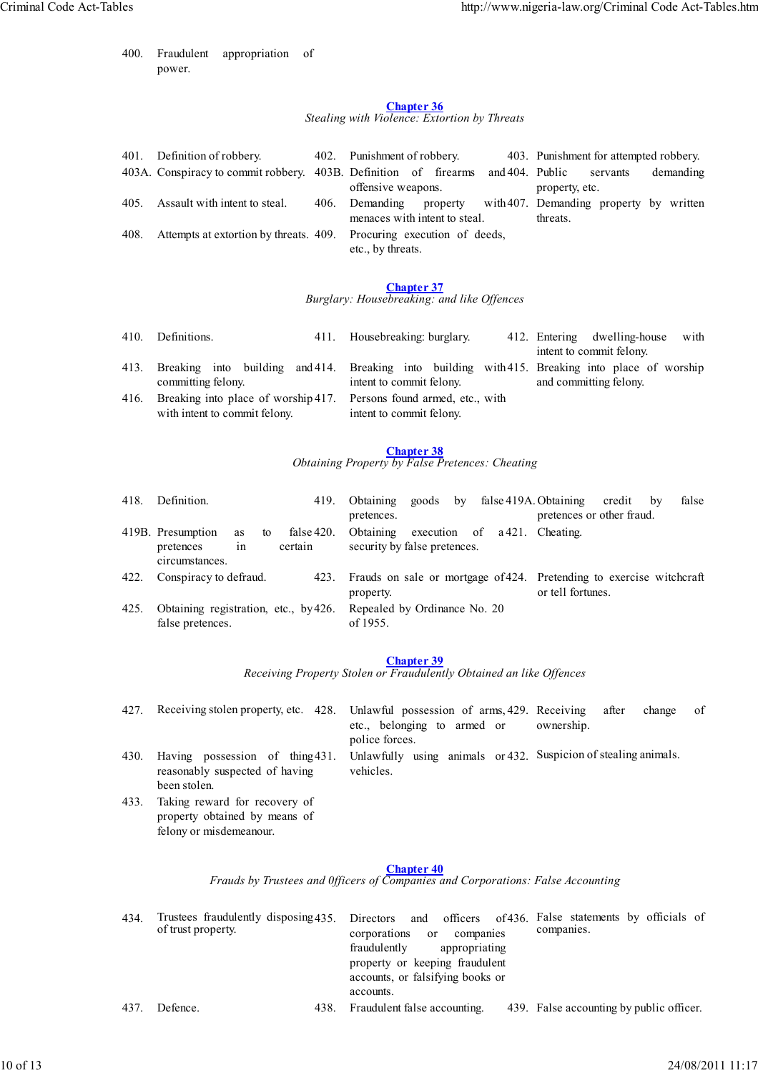400. Fraudulent appropriation of power.

felony or misdemeanour.

#### **Chapter 36** *Stealing with Violence: Extortion by Threats*

| 401. | Definition of robbery.                                               |      | 402. Punishment of robbery.                |  |          |                 | 403. Punishment for attempted robbery.              |          |  |           |
|------|----------------------------------------------------------------------|------|--------------------------------------------|--|----------|-----------------|-----------------------------------------------------|----------|--|-----------|
|      | 403A. Conspiracy to commit robbery.                                  |      | 403B. Definition of firearms               |  |          | and 404. Public |                                                     | servants |  | demanding |
|      |                                                                      |      | offensive weapons.                         |  |          | property, etc.  |                                                     |          |  |           |
| 405. | Assault with intent to steal.                                        | 406. | Demanding<br>menaces with intent to steal. |  | property |                 | with 407. Demanding property by written<br>threats. |          |  |           |
| 408. | Attempts at extortion by threats. 409. Procuring execution of deeds, |      | etc., by threats.                          |  |          |                 |                                                     |          |  |           |

#### **Chapter 37** *Burglary: Housebreaking: and like Offences*

| 410. | Definitions.                                                                                         | 411. Housebreaking: burglary.                                                                                               | 412. Entering dwelling-house<br>with<br>intent to commit felony. |  |  |
|------|------------------------------------------------------------------------------------------------------|-----------------------------------------------------------------------------------------------------------------------------|------------------------------------------------------------------|--|--|
| 413. | committing felony.                                                                                   | Breaking into building and 414. Breaking into building with 415. Breaking into place of worship<br>intent to commit felony. | and committing felony.                                           |  |  |
| 416. | Breaking into place of worship 417. Persons found armed, etc., with<br>with intent to commit felony. | intent to commit felony.                                                                                                    |                                                                  |  |  |

# **Chapter 38**

*Obtaining Property by False Pretences: Cheating*

| 418. | Definition.                                                        | 419.                  | Obtaining goods by false 419A. Obtaining<br>pretences.                  |  | pretences or other fraud.                                                                 | credit | false<br>by |
|------|--------------------------------------------------------------------|-----------------------|-------------------------------------------------------------------------|--|-------------------------------------------------------------------------------------------|--------|-------------|
|      | 419B. Presumption<br>to<br>as<br>pretences<br>in<br>circumstances. | false 420.<br>certain | Obtaining execution of a 421. Cheating.<br>security by false pretences. |  |                                                                                           |        |             |
| 422. | Conspiracy to defraud.                                             | 423.                  | property.                                                               |  | Frauds on sale or mortgage of 424. Pretending to exercise witchcraft<br>or tell fortunes. |        |             |
| 425. | Obtaining registration, etc., by 426.<br>false pretences.          |                       | Repealed by Ordinance No. 20<br>of 1955.                                |  |                                                                                           |        |             |

# **Chapter 39**

*Receiving Property Stolen or Fraudulently Obtained an like Offences*

427. Receiving stolen property, etc. 428. etc., belonging to armed or police forces. Unlawful possession of arms, 429. Receiving after change of ownership. 430. Having possession of thing reasonably suspected of having been stolen. 431. Unlawfully using animals or 432. Suspicion of stealing animals. vehicles. 433. Taking reward for recovery of property obtained by means of

# **Chapter 40**

*Frauds by Trustees and 0fficers of Companies and Corporations: False Accounting*

| 434 | of trust property. |      | Trustees fraudulently disposing 435. Directors and officers of 436. False statements by officials of<br>compames.<br>corporations<br>companies<br><sub>or</sub><br>appropriating<br>fraudulently<br>property or keeping fraudulent<br>accounts, or falsifying books or<br>accounts. |
|-----|--------------------|------|-------------------------------------------------------------------------------------------------------------------------------------------------------------------------------------------------------------------------------------------------------------------------------------|
| 437 | Defence.           | 438. | Fraudulent false accounting.<br>439. False accounting by public officer.                                                                                                                                                                                                            |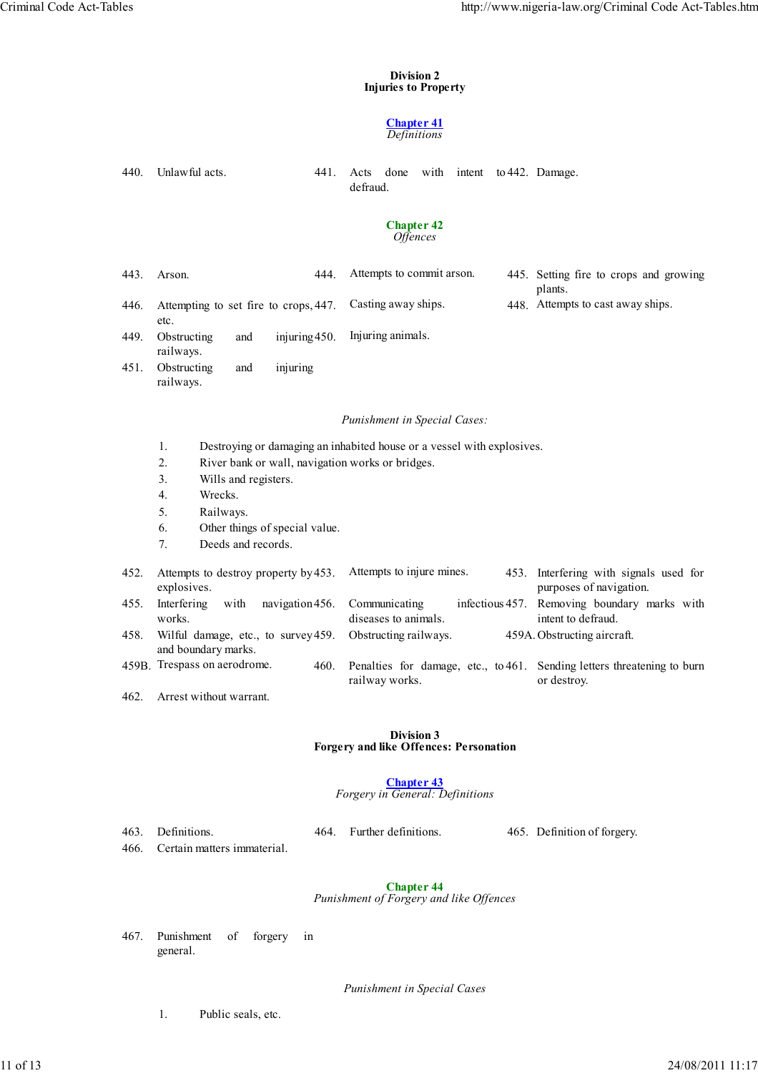#### **Division 2 Injuries to Property**

#### **Chapter 41** *Definitions*

|                                             | Definitions                                                                                                                                                                                                    |                                                                        |                        |                                                                               |  |  |  |  |  |  |  |  |
|---------------------------------------------|----------------------------------------------------------------------------------------------------------------------------------------------------------------------------------------------------------------|------------------------------------------------------------------------|------------------------|-------------------------------------------------------------------------------|--|--|--|--|--|--|--|--|
| 440.                                        | Unlawful acts.<br>441.                                                                                                                                                                                         | done<br>Acts<br>with<br>defraud.                                       | intent to 442. Damage. |                                                                               |  |  |  |  |  |  |  |  |
| <b>Chapter 42</b><br><i><b>Offences</b></i> |                                                                                                                                                                                                                |                                                                        |                        |                                                                               |  |  |  |  |  |  |  |  |
| 443.                                        | 444.<br>Arson.                                                                                                                                                                                                 | Attempts to commit arson.                                              |                        | 445. Setting fire to crops and growing<br>plants.                             |  |  |  |  |  |  |  |  |
| 446.                                        | Attempting to set fire to crops, 447.<br>etc.                                                                                                                                                                  | Casting away ships.                                                    |                        | 448. Attempts to cast away ships.                                             |  |  |  |  |  |  |  |  |
| 449.                                        | Obstructing<br>injuring 450.<br>and<br>railways.                                                                                                                                                               | Injuring animals.                                                      |                        |                                                                               |  |  |  |  |  |  |  |  |
| 451.                                        | Obstructing<br>injuring<br>and<br>railways.                                                                                                                                                                    |                                                                        |                        |                                                                               |  |  |  |  |  |  |  |  |
|                                             | Punishment in Special Cases:                                                                                                                                                                                   |                                                                        |                        |                                                                               |  |  |  |  |  |  |  |  |
|                                             | 1.<br>River bank or wall, navigation works or bridges.<br>2.<br>3 <sub>1</sub><br>Wills and registers.<br>Wrecks.<br>4.<br>5.<br>Railways.<br>Other things of special value.<br>6.<br>Deeds and records.<br>7. | Destroying or damaging an inhabited house or a vessel with explosives. |                        |                                                                               |  |  |  |  |  |  |  |  |
| 452.                                        | Attempts to destroy property by 453.                                                                                                                                                                           | Attempts to injure mines.                                              | 453.                   | Interfering with signals used for                                             |  |  |  |  |  |  |  |  |
| 455.                                        | explosives.<br>Interfering<br>with<br>navigation 456.<br>works.                                                                                                                                                | Communicating<br>diseases to animals.                                  | infectious 457.        | purposes of navigation.<br>Removing boundary marks with<br>intent to defraud. |  |  |  |  |  |  |  |  |
| 458.                                        | Wilful damage, etc., to survey 459.<br>and boundary marks.                                                                                                                                                     | Obstructing railways.                                                  |                        | 459A. Obstructing aircraft.                                                   |  |  |  |  |  |  |  |  |
|                                             | 459B. Trespass on aerodrome.<br>460.                                                                                                                                                                           | Penalties for damage, etc., to 461.<br>railway works.                  |                        | Sending letters threatening to burn<br>or destroy.                            |  |  |  |  |  |  |  |  |
| 462.                                        | Arrest without warrant.                                                                                                                                                                                        |                                                                        |                        |                                                                               |  |  |  |  |  |  |  |  |
|                                             |                                                                                                                                                                                                                | <b>Division 3</b><br><b>Forgery and like Offences: Personation</b>     |                        |                                                                               |  |  |  |  |  |  |  |  |
|                                             |                                                                                                                                                                                                                | <b>Chapter 43</b><br>Forgery in General: Definitions                   |                        |                                                                               |  |  |  |  |  |  |  |  |
| 463.<br>466.                                | Definitions.<br>Certain matters immaterial.                                                                                                                                                                    | 464. Further definitions.                                              |                        | 465. Definition of forgery.                                                   |  |  |  |  |  |  |  |  |
|                                             |                                                                                                                                                                                                                | <b>Chapter 44</b><br>Punishment of Forgery and like Offences           |                        |                                                                               |  |  |  |  |  |  |  |  |
|                                             | $D$ $m$ $ch$ $on$<br>$\sim$ $\mathcal{L}$<br>$f_{\alpha x \alpha \alpha x y}$                                                                                                                                  |                                                                        |                        |                                                                               |  |  |  |  |  |  |  |  |

467. Punishment of forgery in general.

*Punishment in Special Cases*

1. Public seals, etc.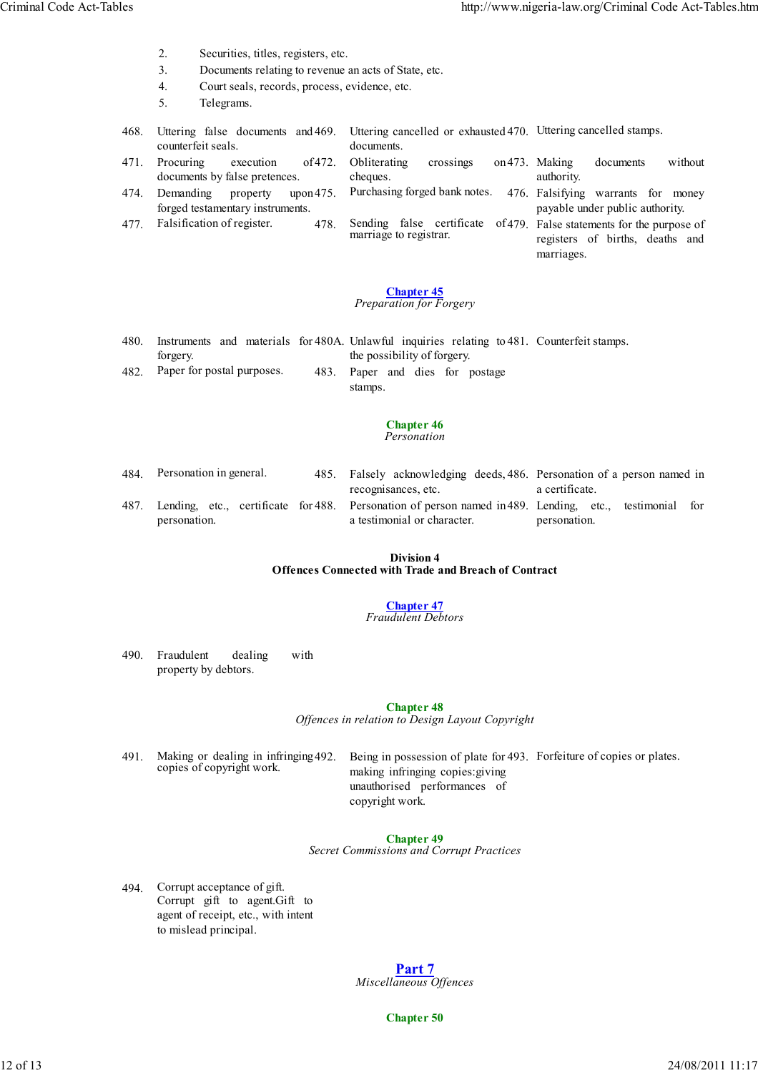- 2. Securities, titles, registers, etc.
- 3. Documents relating to revenue an acts of State, etc.
- 4. Court seals, records, process, evidence, etc.
- 5. Telegrams.

| 468. | Uttering false documents and 469. Uttering cancelled or exhausted 470. Uttering cancelled stamps. |                                                     |                                                                                              |  |  |  |
|------|---------------------------------------------------------------------------------------------------|-----------------------------------------------------|----------------------------------------------------------------------------------------------|--|--|--|
|      | counterfeit seals.                                                                                | documents.                                          |                                                                                              |  |  |  |
| 471. | of 472.<br>Procuring<br>execution                                                                 | Obliterating<br>crossings                           | on 473. Making<br>without<br>documents                                                       |  |  |  |
|      | documents by false pretences.                                                                     | cheques.                                            | authority.                                                                                   |  |  |  |
| 474. | Demanding<br>upon $475$ .<br>property<br>forged testamentary instruments.                         | Purchasing forged bank notes.                       | 476. Falsifying warrants for money<br>payable under public authority.                        |  |  |  |
| 477  | Falsification of register.<br>478.                                                                | Sending false certificate<br>marriage to registrar. | of 479. False statements for the purpose of<br>registers of births, deaths and<br>marriages. |  |  |  |

*Preparation for Forgery*

| 480. |                                 |  |                                 |  |  | Instruments and materials for 480A. Unlawful inquiries relating to 481. Counterfeit stamps. |  |
|------|---------------------------------|--|---------------------------------|--|--|---------------------------------------------------------------------------------------------|--|
|      | forgery.                        |  | the possibility of forgery.     |  |  |                                                                                             |  |
|      | 482. Paper for postal purposes. |  | 483. Paper and dies for postage |  |  |                                                                                             |  |
|      |                                 |  | stamps.                         |  |  |                                                                                             |  |

#### **Chapter 46** *Personation*

484. Personation in general. 485. Falsely acknowledging deeds, 486. Personation of a person named in recognisances, etc. a certificate. 487. Lending, etc., certificate for 488. personation. 488. Personation of person named in 489. Lending, etc., testimonial for a testimonial or character. personation.

#### **Division 4 Offences Connected with Trade and Breach of Contract**

# **Chapter 47**

*Fraudulent Debtors*

490. Fraudulent dealing with property by debtors.

> **Chapter 48** *Offences in relation to Design Layout Copyright*

491. Making or dealing in infringing 492. copies of copyright work.

492. Being in possession of plate for 493. Forfeiture of copies or plates. making infringing copies:giving unauthorised performances of copyright work.

# **Chapter 49**

*Secret Commissions and Corrupt Practices*

494. Corrupt acceptance of gift. Corrupt gift to agent.Gift to agent of receipt, etc., with intent to mislead principal.

> **Part 7** *Miscellaneous Offences*

> > **Chapter 50**